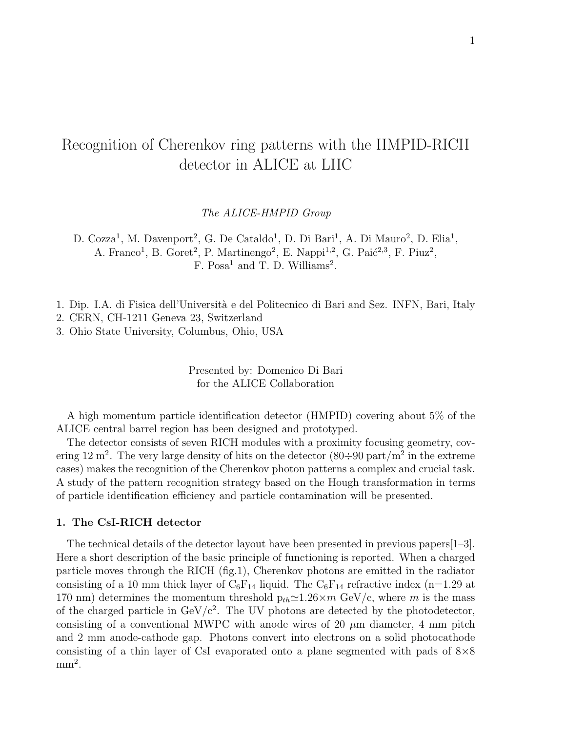# Recognition of Cherenkov ring patterns with the HMPID-RICH detector in ALICE at LHC

The ALICE-HMPID Group

D. Cozza<sup>1</sup>, M. Davenport<sup>2</sup>, G. De Cataldo<sup>1</sup>, D. Di Bari<sup>1</sup>, A. Di Mauro<sup>2</sup>, D. Elia<sup>1</sup>, A. Franco<sup>1</sup>, B. Goret<sup>2</sup>, P. Martinengo<sup>2</sup>, E. Nappi<sup>1,2</sup>, G. Paić<sup>2,3</sup>, F. Piuz<sup>2</sup>, F. Posa<sup>1</sup> and T. D. Williams<sup>2</sup>.

1. Dip. I.A. di Fisica dell'Università e del Politecnico di Bari and Sez. INFN, Bari, Italy

2. CERN, CH-1211 Geneva 23, Switzerland

3. Ohio State University, Columbus, Ohio, USA

Presented by: Domenico Di Bari for the ALICE Collaboration

A high momentum particle identification detector (HMPID) covering about 5% of the ALICE central barrel region has been designed and prototyped.

The detector consists of seven RICH modules with a proximity focusing geometry, covering 12 m<sup>2</sup>. The very large density of hits on the detector  $(80\div 90 \text{ part/m}^2 \text{ in the extreme})$ cases) makes the recognition of the Cherenkov photon patterns a complex and crucial task. A study of the pattern recognition strategy based on the Hough transformation in terms of particle identification efficiency and particle contamination will be presented.

## **1. The CsI-RICH detector**

The technical details of the detector layout have been presented in previous papers[1–3]. Here a short description of the basic principle of functioning is reported. When a charged particle moves through the RICH (fig.1), Cherenkov photons are emitted in the radiator consisting of a 10 mm thick layer of  $\mathrm{C_6F_{14}}$  liquid. The  $\mathrm{C_6F_{14}}$  refractive index (n=1.29 at 170 nm) determines the momentum threshold  $p_{th} \approx 1.26 \times m$  GeV/c, where m is the mass of the charged particle in  $GeV/c^2$ . The UV photons are detected by the photodetector, consisting of a conventional MWPC with anode wires of 20  $\mu$ m diameter, 4 mm pitch and 2 mm anode-cathode gap. Photons convert into electrons on a solid photocathode consisting of a thin layer of CsI evaporated onto a plane segmented with pads of  $8\times8$  $mm<sup>2</sup>$ .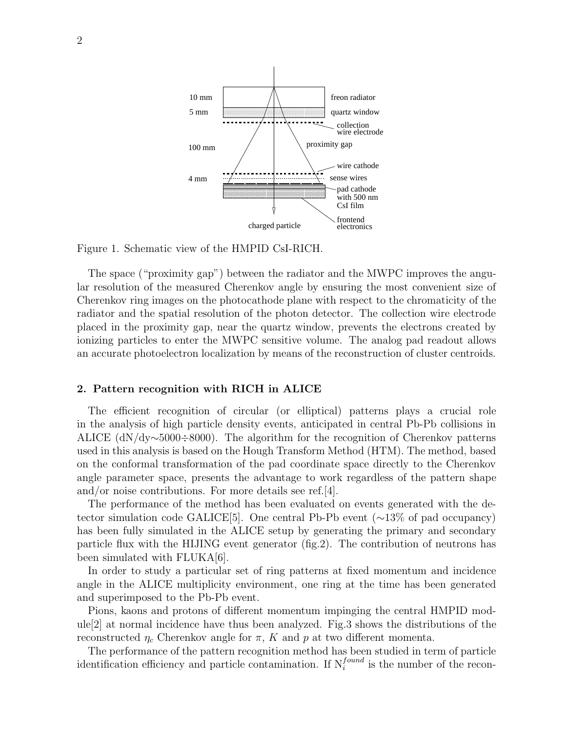

Figure 1. Schematic view of the HMPID CsI-RICH.

The space ("proximity gap") between the radiator and the MWPC improves the angular resolution of the measured Cherenkov angle by ensuring the most convenient size of Cherenkov ring images on the photocathode plane with respect to the chromaticity of the radiator and the spatial resolution of the photon detector. The collection wire electrode placed in the proximity gap, near the quartz window, prevents the electrons created by ionizing particles to enter the MWPC sensitive volume. The analog pad readout allows an accurate photoelectron localization by means of the reconstruction of cluster centroids.

#### **2. Pattern recognition with RICH in ALICE**

The efficient recognition of circular (or elliptical) patterns plays a crucial role in the analysis of high particle density events, anticipated in central Pb-Pb collisions in ALICE (dN/dy∼5000÷8000). The algorithm for the recognition of Cherenkov patterns used in this analysis is based on the Hough Transform Method (HTM). The method, based on the conformal transformation of the pad coordinate space directly to the Cherenkov angle parameter space, presents the advantage to work regardless of the pattern shape and/or noise contributions. For more details see ref.[4].

The performance of the method has been evaluated on events generated with the detector simulation code GALICE[5]. One central Pb-Pb event (∼13% of pad occupancy) has been fully simulated in the ALICE setup by generating the primary and secondary particle flux with the HIJING event generator (fig.2). The contribution of neutrons has been simulated with FLUKA[6].

In order to study a particular set of ring patterns at fixed momentum and incidence angle in the ALICE multiplicity environment, one ring at the time has been generated and superimposed to the Pb-Pb event.

Pions, kaons and protons of different momentum impinging the central HMPID module[2] at normal incidence have thus been analyzed. Fig.3 shows the distributions of the reconstructed  $\eta_c$  Cherenkov angle for  $\pi$ , K and p at two different momenta.

The performance of the pattern recognition method has been studied in term of particle identification efficiency and particle contamination. If  $N_i^{found}$  is the number of the recon-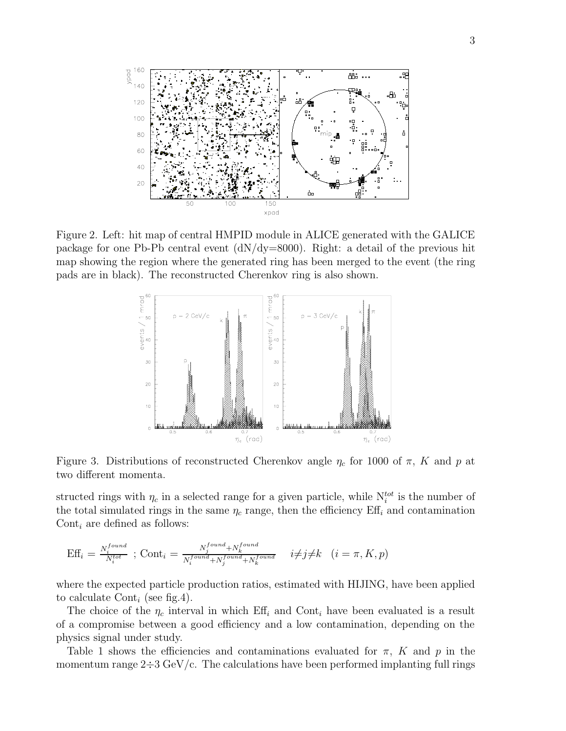

Figure 2. Left: hit map of central HMPID module in ALICE generated with the GALICE package for one Pb-Pb central event (dN/dy=8000). Right: a detail of the previous hit map showing the region where the generated ring has been merged to the event (the ring pads are in black). The reconstructed Cherenkov ring is also shown.



Figure 3. Distributions of reconstructed Cherenkov angle  $\eta_c$  for 1000 of  $\pi$ , K and p at two different momenta.

structed rings with  $\eta_c$  in a selected range for a given particle, while  $N_i^{tot}$  is the number of the total simulated rings in the same  $\eta_c$  range, then the efficiency Eff<sub>i</sub> and contamination Cont<sub>i</sub> are defined as follows:

$$
\text{Eff}_i = \frac{N_i^{found}}{N_i^{tot}} \text{ ; } \text{Cont}_i = \frac{N_j^{found} + N_k^{found}}{N_i^{found} + N_j^{found} + N_k^{found}} \quad i \neq j \neq k \quad (i = \pi, K, p)
$$

where the expected particle production ratios, estimated with HIJING, have been applied to calculate Cont<sub>i</sub> (see fig.4).

The choice of the  $\eta_c$  interval in which Eff<sub>i</sub> and Cont<sub>i</sub> have been evaluated is a result of a compromise between a good efficiency and a low contamination, depending on the physics signal under study.

Table 1 shows the efficiencies and contaminations evaluated for  $\pi$ , K and p in the momentum range  $2\div 3 \text{ GeV}/c$ . The calculations have been performed implanting full rings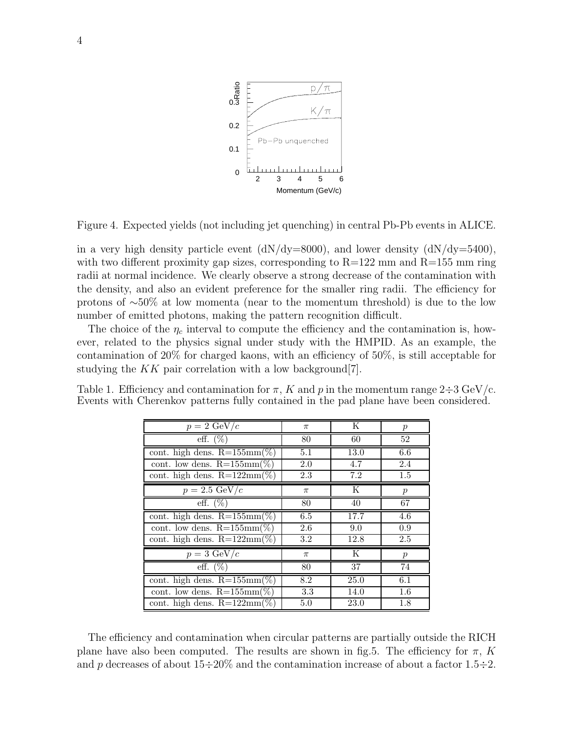

Figure 4. Expected yields (not including jet quenching) in central Pb-Pb events in ALICE.

in a very high density particle event  $(dN/dy=8000)$ , and lower density  $(dN/dy=5400)$ , with two different proximity gap sizes, corresponding to  $R=122$  mm and  $R=155$  mm ring radii at normal incidence. We clearly observe a strong decrease of the contamination with the density, and also an evident preference for the smaller ring radii. The efficiency for protons of ∼50% at low momenta (near to the momentum threshold) is due to the low number of emitted photons, making the pattern recognition difficult.

The choice of the  $\eta_c$  interval to compute the efficiency and the contamination is, however, related to the physics signal under study with the HMPID. As an example, the contamination of 20% for charged kaons, with an efficiency of 50%, is still acceptable for studying the  $KK$  pair correlation with a low background [7].

Table 1. Efficiency and contamination for  $\pi$ , K and p in the momentum range  $2\div 3 \text{ GeV}/c$ . Events with Cherenkov patterns fully contained in the pad plane have been considered.

| $p = 2 \text{ GeV}/c$          | $\pi$   | K    | $\boldsymbol{p}$ |
|--------------------------------|---------|------|------------------|
| eff. $(\%)$                    | 80      | 60   | 52               |
| cont. high dens. $R=155mm(\%)$ | 5.1     | 13.0 | 6.6              |
| cont. low dens. $R=155mm(\%)$  | 2.0     | 4.7  | 2.4              |
| cont. high dens. $R=122mm(\%)$ | 2.3     | 7.2  | 1.5              |
| $p = 2.5 \text{ GeV}/c$        | $\pi$   | K    | $\boldsymbol{p}$ |
| eff. $(\%)$                    | 80      | 40   | 67               |
| cont. high dens. $R=155mm(\%)$ | 6.5     | 17.7 | 4.6              |
| cont. low dens. $R=155mm(\%)$  | 2.6     | 9.0  | 0.9              |
| cont. high dens. $R=122mm(\%)$ | $3.2\,$ | 12.8 | 2.5              |
| $p = 3 \text{ GeV}/c$          | $\pi$   | K    | $\boldsymbol{p}$ |
| eff. $(\%)$                    | 80      | 37   | 74               |
| cont. high dens. $R=155mm(\%)$ | 8.2     | 25.0 | 6.1              |
| cont. low dens. $R=155mm(\%)$  | 3.3     | 14.0 | 1.6              |
| cont. high dens. $R=122mm(\%)$ | 5.0     | 23.0 | 1.8              |

The efficiency and contamination when circular patterns are partially outside the RICH plane have also been computed. The results are shown in fig.5. The efficiency for  $\pi$ , K and p decreases of about  $15\div 20\%$  and the contamination increase of about a factor  $1.5\div 2$ .